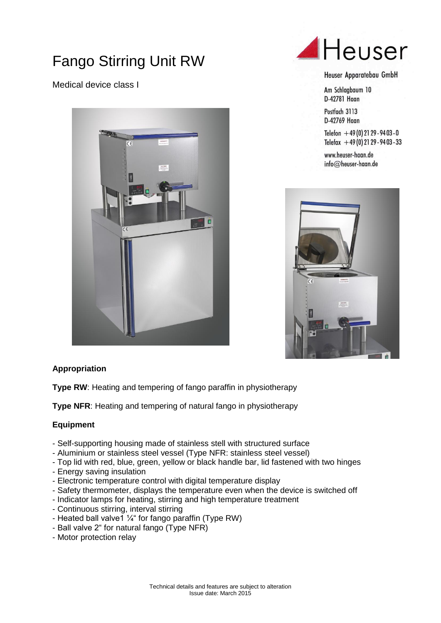# Fango Stirring Unit RW

Medical device class I





#### Heuser Apparatebau GmbH

Am Schlagbaum 10 D-42781 Haan

Postfach 3113 D-42769 Haan

Telefon  $+49(0)$  21 29 - 94 03 - 0 Telefax  $+49(0)$  21 29 - 94 03 - 33

www.heuser-haan.de  $info@$ heuser-haan.de



### **Appropriation**

**Type RW:** Heating and tempering of fango paraffin in physiotherapy

**Type NFR:** Heating and tempering of natural fango in physiotherapy

### **Equipment**

- Self-supporting housing made of stainless stell with structured surface
- Aluminium or stainless steel vessel (Type NFR: stainless steel vessel)
- Top lid with red, blue, green, yellow or black handle bar, lid fastened with two hinges
- Energy saving insulation
- Electronic temperature control with digital temperature display
- Safety thermometer, displays the temperature even when the device is switched off
- Indicator lamps for heating, stirring and high temperature treatment
- Continuous stirring, interval stirring
- Heated ball valve1  $\frac{1}{4}$ " for fango paraffin (Type RW)
- Ball valve 2" for natural fango (Type NFR)
- Motor protection relay